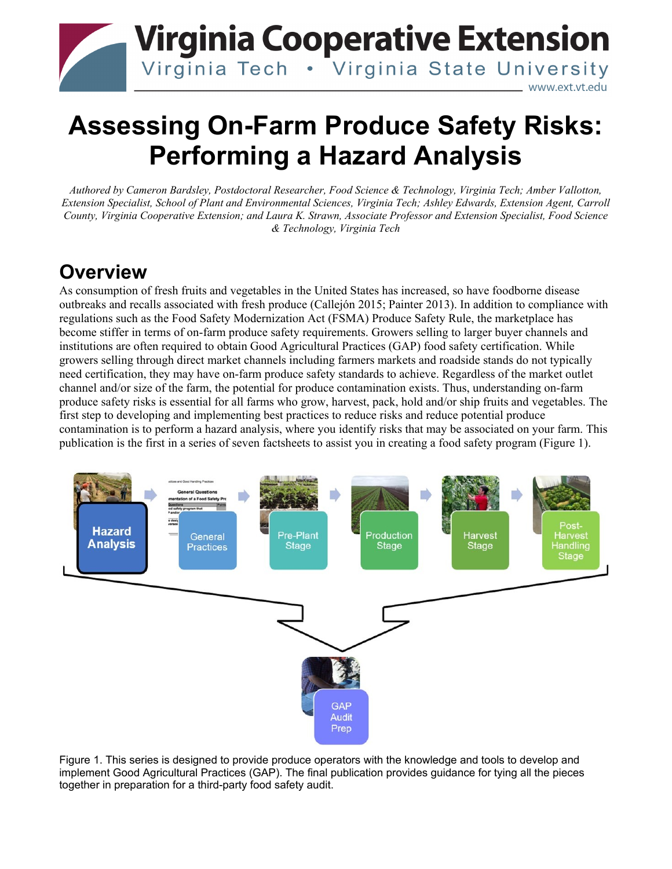

# **Assessing On-Farm Produce Safety Risks: Performing a Hazard Analysis**

*Authored by Cameron Bardsley, Postdoctoral Researcher, Food Science & Technology, Virginia Tech; Amber Vallotton, Extension Specialist, School of Plant and Environmental Sciences, Virginia Tech; Ashley Edwards, Extension Agent, Carroll County, Virginia Cooperative Extension; and Laura K. Strawn, Associate Professor and Extension Specialist, Food Science & Technology, Virginia Tech*

## **Overview**

As consumption of fresh fruits and vegetables in the United States has increased, so have foodborne disease outbreaks and recalls associated with fresh produce (Callejón 2015; Painter 2013). In addition to compliance with regulations such as the Food Safety Modernization Act (FSMA) Produce Safety Rule, the marketplace has become stiffer in terms of on-farm produce safety requirements. Growers selling to larger buyer channels and institutions are often required to obtain Good Agricultural Practices (GAP) food safety certification. While growers selling through direct market channels including farmers markets and roadside stands do not typically need certification, they may have on-farm produce safety standards to achieve. Regardless of the market outlet channel and/or size of the farm, the potential for produce contamination exists. Thus, understanding on-farm produce safety risks is essential for all farms who grow, harvest, pack, hold and/or ship fruits and vegetables. The first step to developing and implementing best practices to reduce risks and reduce potential produce contamination is to perform a hazard analysis, where you identify risks that may be associated on your farm. This publication is the first in a series of seven factsheets to assist you in creating a food safety program (Figure 1).



Figure 1. This series is designed to provide produce operators with the knowledge and tools to develop and implement Good Agricultural Practices (GAP). The final publication provides guidance for tying all the pieces together in preparation for a third-party food safety audit.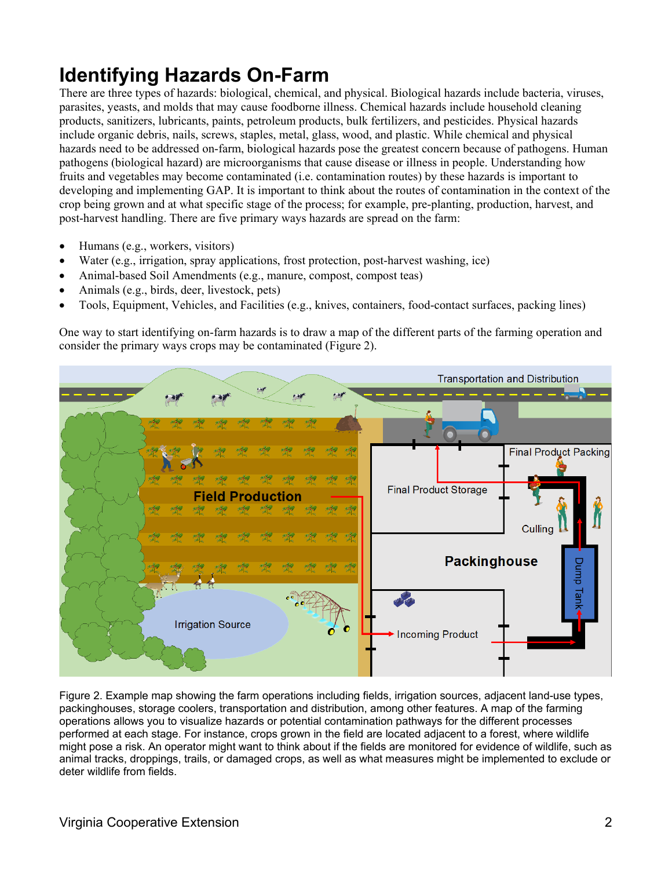## **Identifying Hazards On-Farm**

There are three types of hazards: biological, chemical, and physical. Biological hazards include bacteria, viruses, parasites, yeasts, and molds that may cause foodborne illness. Chemical hazards include household cleaning products, sanitizers, lubricants, paints, petroleum products, bulk fertilizers, and pesticides. Physical hazards include organic debris, nails, screws, staples, metal, glass, wood, and plastic. While chemical and physical hazards need to be addressed on-farm, biological hazards pose the greatest concern because of pathogens. Human pathogens (biological hazard) are microorganisms that cause disease or illness in people. Understanding how fruits and vegetables may become contaminated (i.e. contamination routes) by these hazards is important to developing and implementing GAP. It is important to think about the routes of contamination in the context of the crop being grown and at what specific stage of the process; for example, pre-planting, production, harvest, and post-harvest handling. There are five primary ways hazards are spread on the farm:

- Humans (e.g., workers, visitors)
- Water (e.g., irrigation, spray applications, frost protection, post-harvest washing, ice)
- Animal-based Soil Amendments (e.g., manure, compost, compost teas)
- Animals (e.g., birds, deer, livestock, pets)
- Tools, Equipment, Vehicles, and Facilities (e.g., knives, containers, food-contact surfaces, packing lines)

One way to start identifying on-farm hazards is to draw a map of the different parts of the farming operation and consider the primary ways crops may be contaminated (Figure 2).



Figure 2. Example map showing the farm operations including fields, irrigation sources, adiacent land-use types, packinghouses, storage coolers, transportation and distribution, among other features. A map of the farming operations allows you to visualize hazards or potential contamination pathways for the different processes performed at each stage. For instance, crops grown in the field are located adjacent to a forest, where wildlife might pose a risk. An operator might want to think about if the fields are monitored for evidence of wildlife, such as animal tracks, droppings, trails, or damaged crops, as well as what measures might be implemented to exclude or deter wildlife from fields.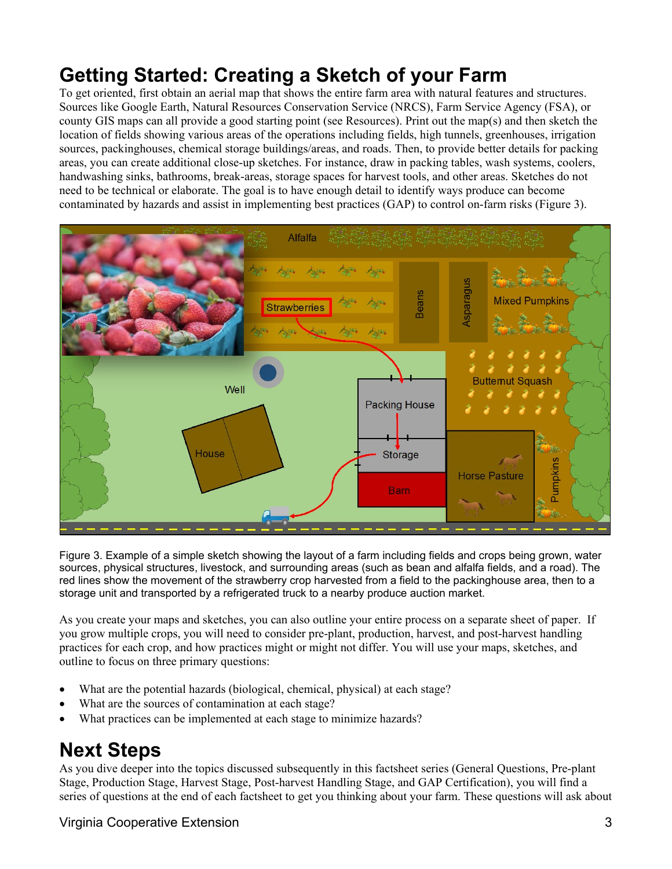## **Getting Started: Creating a Sketch of your Farm**

To get oriented, first obtain an aerial map that shows the entire farm area with natural features and structures. Sources like Google Earth, Natural Resources Conservation Service (NRCS), Farm Service Agency (FSA), or county GIS maps can all provide a good starting point (see Resources). Print out the map(s) and then sketch the location of fields showing various areas of the operations including fields, high tunnels, greenhouses, irrigation sources, packinghouses, chemical storage buildings/areas, and roads. Then, to provide better details for packing areas, you can create additional close-up sketches. For instance, draw in packing tables, wash systems, coolers, handwashing sinks, bathrooms, break-areas, storage spaces for harvest tools, and other areas. Sketches do not need to be technical or elaborate. The goal is to have enough detail to identify ways produce can become contaminated by hazards and assist in implementing best practices (GAP) to control on-farm risks (Figure 3).



Figure 3. Example of a simple sketch showing the layout of a farm including fields and crops being grown, water sources, physical structures, livestock, and surrounding areas (such as bean and alfalfa fields, and a road). The red lines show the movement of the strawberry crop harvested from a field to the packinghouse area, then to a storage unit and transported by a refrigerated truck to a nearby produce auction market.

As you create your maps and sketches, you can also outline your entire process on a separate sheet of paper. If you grow multiple crops, you will need to consider pre-plant, production, harvest, and post-harvest handling practices for each crop, and how practices might or might not differ. You will use your maps, sketches, and outline to focus on three primary questions:

- What are the potential hazards (biological, chemical, physical) at each stage?
- What are the sources of contamination at each stage?
- What practices can be implemented at each stage to minimize hazards?

### **Next Steps**

As you dive deeper into the topics discussed subsequently in this factsheet series (General Questions, Pre-plant Stage, Production Stage, Harvest Stage, Post-harvest Handling Stage, and GAP Certification), you will find a series of questions at the end of each factsheet to get you thinking about your farm. These questions will ask about